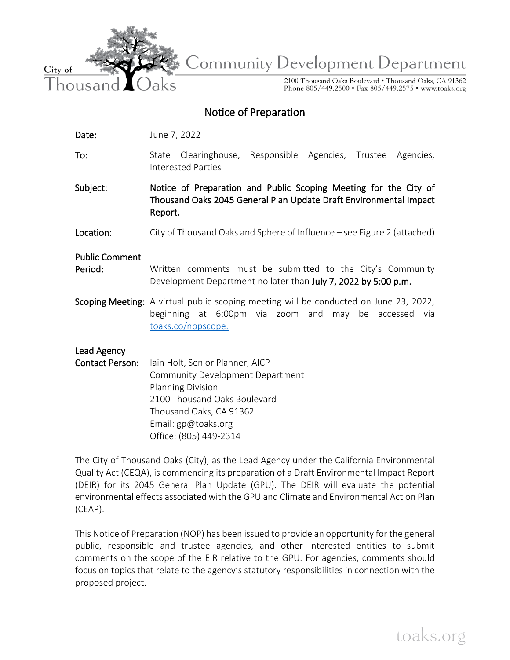

**Community Development Department** 

2100 Thousand Oaks Boulevard . Thousand Oaks, CA 91362 Phone 805/449.2500 • Fax 805/449.2575 • www.toaks.org

# Notice of Preparation

Date: June 7, 2022

To: State Clearinghouse, Responsible Agencies, Trustee Agencies, Interested Parties

Subject: Notice of Preparation and Public Scoping Meeting for the City of Thousand Oaks 2045 General Plan Update Draft Environmental Impact Report.

Location: City of Thousand Oaks and Sphere of Influence – see Figure 2 (attached)

Public Comment

- Period: Written comments must be submitted to the City's Community Development Department no later than July 7, 2022 by 5:00 p.m.
- Scoping Meeting: A virtual public scoping meeting will be conducted on June 23, 2022, beginning at 6:00pm via zoom and may be accessed via [toaks.co/nopscope.](http://toaks.co/nopscope)

Lead Agency

Contact Person: lain Holt, Senior Planner, AICP Community Development Department Planning Division 2100 Thousand Oaks Boulevard Thousand Oaks, CA 91362 Email: gp@toaks.org Office: (805) 449-2314

The City of Thousand Oaks (City), as the Lead Agency under the California Environmental Quality Act (CEQA), is commencing its preparation of a Draft Environmental Impact Report (DEIR) for its 2045 General Plan Update (GPU). The DEIR will evaluate the potential environmental effects associated with the GPU and Climate and Environmental Action Plan (CEAP).

This Notice of Preparation (NOP) has been issued to provide an opportunity for the general public, responsible and trustee agencies, and other interested entities to submit comments on the scope of the EIR relative to the GPU. For agencies, comments should focus on topics that relate to the agency's statutory responsibilities in connection with the proposed project.

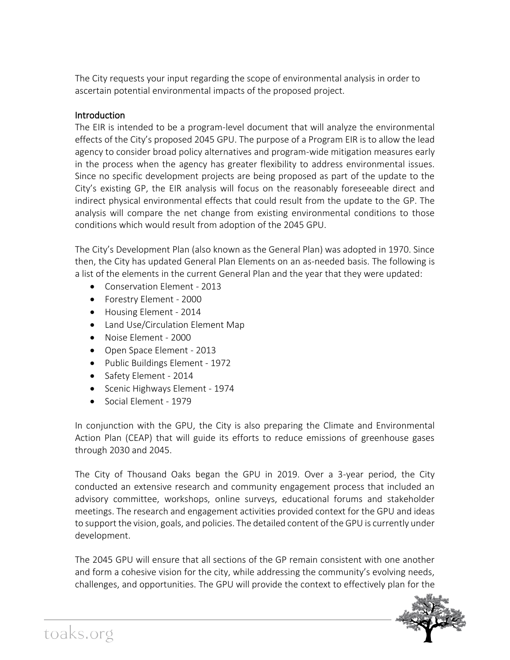The City requests your input regarding the scope of environmental analysis in order to ascertain potential environmental impacts of the proposed project.

## Introduction

The EIR is intended to be a program-level document that will analyze the environmental effects of the City's proposed 2045 GPU. The purpose of a Program EIR is to allow the lead agency to consider broad policy alternatives and program-wide mitigation measures early in the process when the agency has greater flexibility to address environmental issues. Since no specific development projects are being proposed as part of the update to the City's existing GP, the EIR analysis will focus on the reasonably foreseeable direct and indirect physical environmental effects that could result from the update to the GP. The analysis will compare the net change from existing environmental conditions to those conditions which would result from adoption of the 2045 GPU.

The City's Development Plan (also known as the General Plan) was adopted in 1970. Since then, the City has updated General Plan Elements on an as-needed basis. The following is a list of the elements in the current General Plan and the year that they were updated:

- [Conservation Element](https://www.toaks.org/home/showpublisheddocument?id=332) 2013
- [Forestry Element](https://www.toaks.org/home/showpublisheddocument?id=334) 2000
- [Housing Element](https://www.toaks.org/home/showpublisheddocument?id=338) 2014
- [Land Use/Circulation Element Map](https://www.toaks.org/home/showpublisheddocument?id=34379)
- [Noise Element](https://www.toaks.org/home/showpublisheddocument?id=340) 2000
- [Open Space Element](https://www.toaks.org/home/showpublisheddocument?id=342) 2013
- [Public Buildings Element](https://www.toaks.org/home/showpublisheddocument?id=19274) 1972
- [Safety Element](https://www.toaks.org/home/showpublisheddocument?id=344) 2014
- [Scenic Highways Element](https://www.toaks.org/home/showpublisheddocument?id=346) 1974
- Social Flement 1979

In conjunction with the GPU, the City is also preparing the Climate and Environmental Action Plan (CEAP) that will guide its efforts to reduce emissions of greenhouse gases through 2030 and 2045.

The City of Thousand Oaks began the GPU in 2019. Over a 3-year period, the City conducted an extensive research and community engagement process that included an advisory committee, workshops, online surveys, educational forums and stakeholder meetings. The research and engagement activities provided context for the GPU and ideas to support the vision, goals, and policies. The detailed content of the GPU is currently under development.

The 2045 GPU will ensure that all sections of the GP remain consistent with one another and form a cohesive vision for the city, while addressing the community's evolving needs, challenges, and opportunities. The GPU will provide the context to effectively plan for the

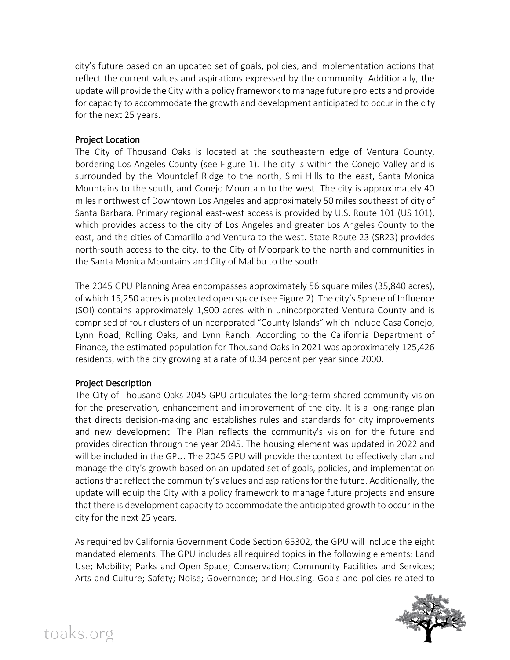city's future based on an updated set of goals, policies, and implementation actions that reflect the current values and aspirations expressed by the community. Additionally, the update will provide the City with a policy framework to manage future projects and provide for capacity to accommodate the growth and development anticipated to occur in the city for the next 25 years.

#### Project Location

The City of Thousand Oaks is located at the southeastern edge of Ventura County, bordering Los Angeles County (see Figure 1). The city is within the Conejo Valley and is surrounded by the Mountclef Ridge to the north, Simi Hills to the east, Santa Monica Mountains to the south, and Conejo Mountain to the west. The city is approximately 40 miles northwest of Downtown Los Angeles and approximately 50 miles southeast of city of Santa Barbara. Primary regional east-west access is provided by U.S. Route 101 (US 101), which provides access to the city of Los Angeles and greater Los Angeles County to the east, and the cities of Camarillo and Ventura to the west. State Route 23 (SR23) provides north-south access to the city, to the City of Moorpark to the north and communities in the Santa Monica Mountains and City of Malibu to the south.

The 2045 GPU Planning Area encompasses approximately 56 square miles (35,840 acres), of which 15,250 acres is protected open space (see Figure 2). The city's Sphere of Influence (SOI) contains approximately 1,900 acres within unincorporated Ventura County and is comprised of four clusters of unincorporated "County Islands" which include Casa Conejo, Lynn Road, Rolling Oaks, and Lynn Ranch. According to the California Department of Finance, the estimated population for Thousand Oaks in 2021 was approximately 125,426 residents, with the city growing at a rate of 0.34 percent per year since 2000.

#### Project Description

The City of Thousand Oaks 2045 GPU articulates the long-term shared community vision for the preservation, enhancement and improvement of the city. It is a long-range plan that directs decision-making and establishes rules and standards for city improvements and new development. The Plan reflects the community's vision for the future and provides direction through the year 2045. The housing element was updated in 2022 and will be included in the GPU. The 2045 GPU will provide the context to effectively plan and manage the city's growth based on an updated set of goals, policies, and implementation actions that reflect the community's values and aspirations for the future. Additionally, the update will equip the City with a policy framework to manage future projects and ensure that there is development capacity to accommodate the anticipated growth to occur in the city for the next 25 years.

As required by California Government Code Section 65302, the GPU will include the eight mandated elements. The GPU includes all required topics in the following elements: Land Use; Mobility; Parks and Open Space; Conservation; Community Facilities and Services; Arts and Culture; Safety; Noise; Governance; and Housing. Goals and policies related to

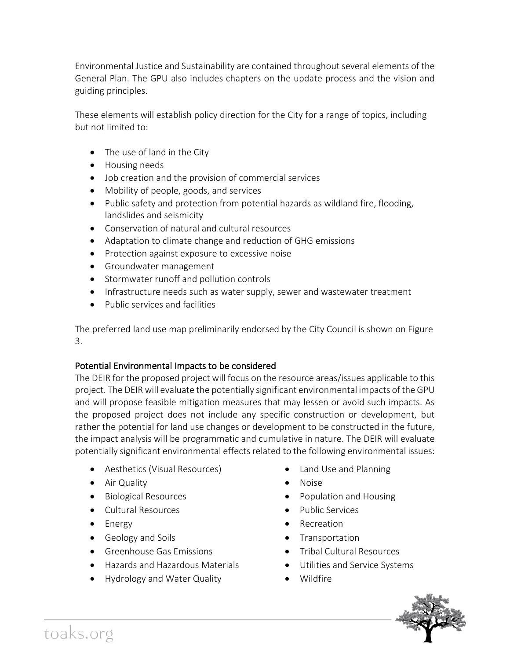Environmental Justice and Sustainability are contained throughout several elements of the General Plan. The GPU also includes chapters on the update process and the vision and guiding principles.

These elements will establish policy direction for the City for a range of topics, including but not limited to:

- The use of land in the City
- Housing needs
- Job creation and the provision of commercial services
- Mobility of people, goods, and services
- Public safety and protection from potential hazards as wildland fire, flooding, landslides and seismicity
- Conservation of natural and cultural resources
- Adaptation to climate change and reduction of GHG emissions
- Protection against exposure to excessive noise
- Groundwater management
- Stormwater runoff and pollution controls
- Infrastructure needs such as water supply, sewer and wastewater treatment
- Public services and facilities

The preferred land use map preliminarily endorsed by the City Council is shown on Figure 3.

# Potential Environmental Impacts to be considered

The DEIR for the proposed project will focus on the resource areas/issues applicable to this project. The DEIR will evaluate the potentially significant environmental impacts of the GPU and will propose feasible mitigation measures that may lessen or avoid such impacts. As the proposed project does not include any specific construction or development, but rather the potential for land use changes or development to be constructed in the future, the impact analysis will be programmatic and cumulative in nature. The DEIR will evaluate potentially significant environmental effects related to the following environmental issues:

- Aesthetics (Visual Resources)
- Air Quality
- Biological Resources
- Cultural Resources
- Energy
- Geology and Soils
- Greenhouse Gas Emissions
- Hazards and Hazardous Materials
- Hydrology and Water Quality
- Land Use and Planning
- Noise
- Population and Housing
- Public Services
- Recreation
- Transportation
- Tribal Cultural Resources
- Utilities and Service Systems
- Wildfire

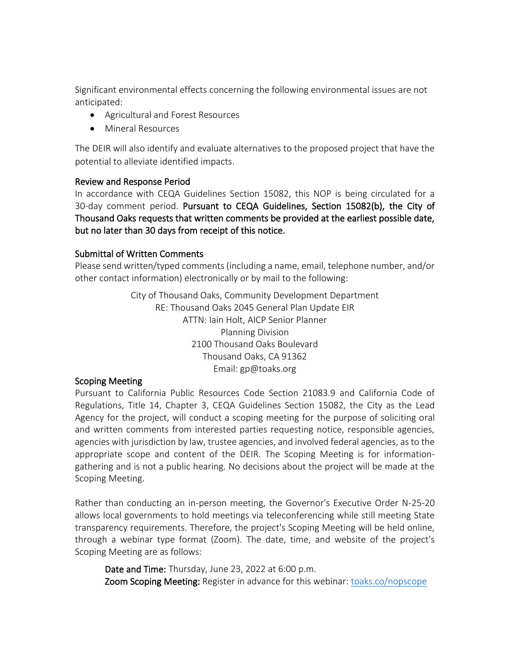Significant environmental effects concerning the following environmental issues are not anticipated:

- Agricultural and Forest Resources
- Mineral Resources

The DEIR will also identify and evaluate alternatives to the proposed project that have the potential to alleviate identified impacts.

#### Review and Response Period

In accordance with CEQA Guidelines Section 15082, this NOP is being circulated for a 30-day comment period. Pursuant to CEQA Guidelines, Section 15082(b), the City of Thousand Oaks requests that written comments be provided at the earliest possible date, but no later than 30 days from receipt of this notice.

#### Submittal of Written Comments

Please send written/typed comments (including a name, email, telephone number, and/or other contact information) electronically or by mail to the following:

> City of Thousand Oaks, Community Development Department RE: Thousand Oaks 2045 General Plan Update EIR ATTN: Iain Holt, AICP Senior Planner Planning Division 2100 Thousand Oaks Boulevard Thousand Oaks, CA 91362 Email: gp@toaks.org

#### Scoping Meeting

Pursuant to California Public Resources Code Section 21083.9 and California Code of Regulations, Title 14, Chapter 3, CEQA Guidelines Section 15082, the City as the Lead Agency for the project, will conduct a scoping meeting for the purpose of soliciting oral and written comments from interested parties requesting notice, responsible agencies, agencies with jurisdiction by law, trustee agencies, and involved federal agencies, as to the appropriate scope and content of the DEIR. The Scoping Meeting is for informationgathering and is not a public hearing. No decisions about the project will be made at the Scoping Meeting.

Rather than conducting an in-person meeting, the Governor's Executive Order N-25-20 allows local governments to hold meetings via teleconferencing while still meeting State transparency requirements. Therefore, the project's Scoping Meeting will be held online, through a webinar type format (Zoom). The date, time, and website of the project's Scoping Meeting are as follows:

Date and Time: Thursday, June 23, 2022 at 6:00 p.m. Zoom Scoping Meeting: Register in advance for this webinar: [toaks.co/nopscope](http://toaks.co/nopscope)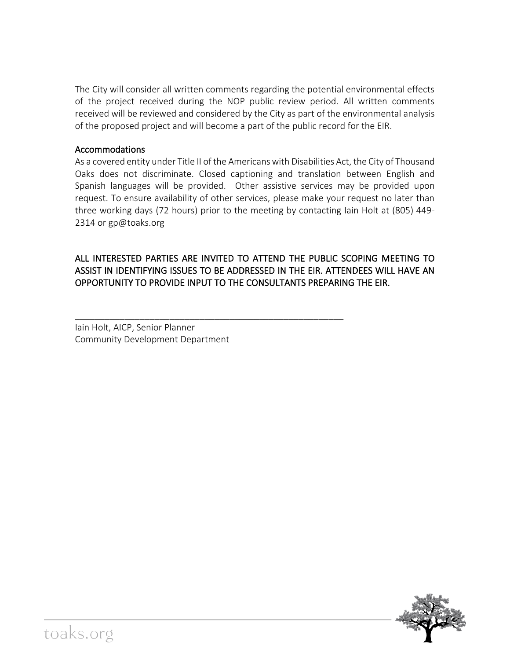The City will consider all written comments regarding the potential environmental effects of the project received during the NOP public review period. All written comments received will be reviewed and considered by the City as part of the environmental analysis of the proposed project and will become a part of the public record for the EIR.

# Accommodations

As a covered entity under Title II of the Americans with Disabilities Act, the City of Thousand Oaks does not discriminate. Closed captioning and translation between English and Spanish languages will be provided. Other assistive services may be provided upon request. To ensure availability of other services, please make your request no later than three working days (72 hours) prior to the meeting by contacting Iain Holt at (805) 449- 2314 or gp@toaks.org

# ALL INTERESTED PARTIES ARE INVITED TO ATTEND THE PUBLIC SCOPING MEETING TO ASSIST IN IDENTIFYING ISSUES TO BE ADDRESSED IN THE EIR. ATTENDEES WILL HAVE AN OPPORTUNITY TO PROVIDE INPUT TO THE CONSULTANTS PREPARING THE EIR.

\_\_\_\_\_\_\_\_\_\_\_\_\_\_\_\_\_\_\_\_\_\_\_\_\_\_\_\_\_\_\_\_\_\_\_\_\_\_\_\_\_\_\_\_\_\_\_\_\_\_\_\_\_\_

Iain Holt, AICP, Senior Planner Community Development Department

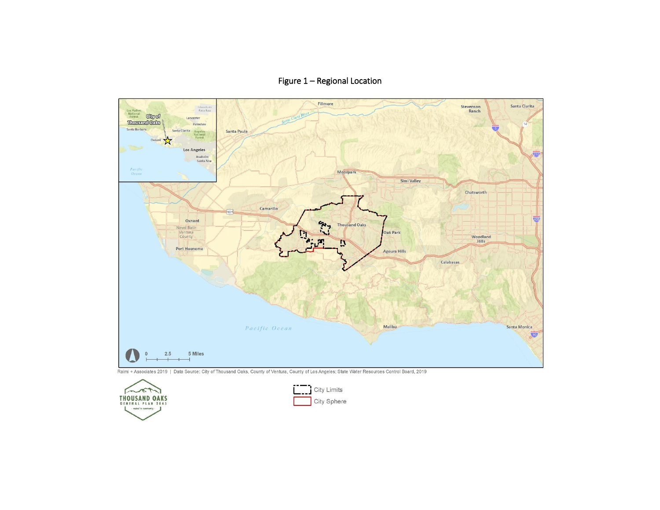Figure 1 – Regional Location



Raimi + Associates 2019 | Data Source: City of Thousand Oaks, County of Ventura, County of Los Angeles; State Water Resources Control Board, 2019



| Limits |
|--------|
| Sphere |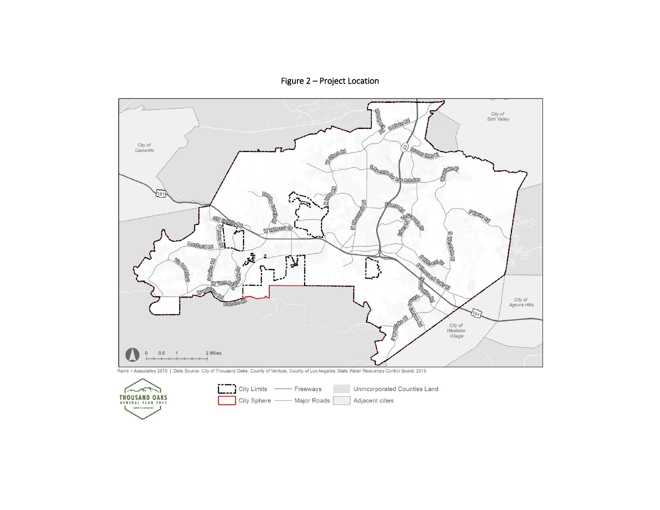Figure 2 – Project Location



Raimi + Associates 2019 | Data Source: City of Thousand Oaks, County of Ventura, County of Los Angeles; State Water Resources Control Board, 2019